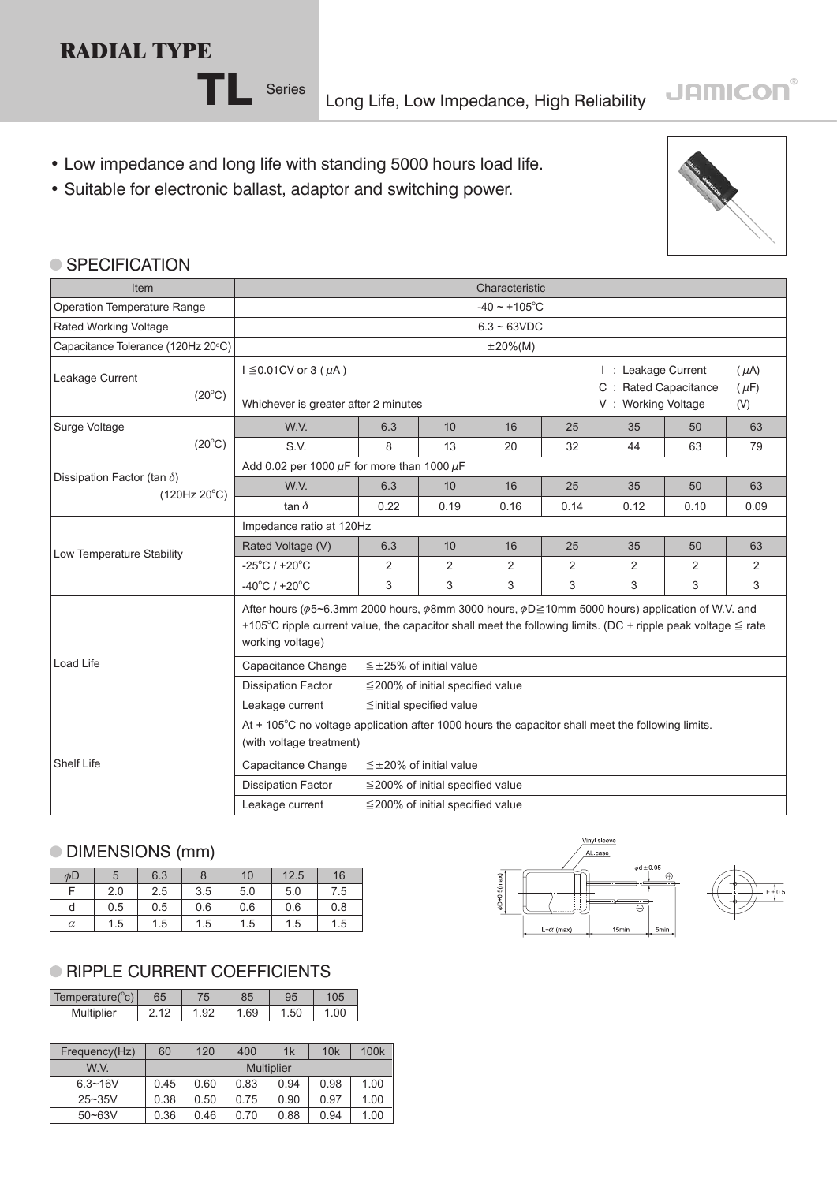## **RADIAL TYPE**

TL Series Long Life, Low Impedance, High Reliability

- Low impedance and long life with standing 5000 hours load life.
- Suitable for electronic ballast, adaptor and switching power.



**JAMICON®** 

#### ● SPECIFICATION

| Item                               | Characteristic                                                                                                                                                                                                                                             |                                                      |                                        |                |      |                                                                                             |      |      |  |  |
|------------------------------------|------------------------------------------------------------------------------------------------------------------------------------------------------------------------------------------------------------------------------------------------------------|------------------------------------------------------|----------------------------------------|----------------|------|---------------------------------------------------------------------------------------------|------|------|--|--|
| Operation Temperature Range        | $-40 \sim +105^{\circ}$ C                                                                                                                                                                                                                                  |                                                      |                                        |                |      |                                                                                             |      |      |  |  |
| Rated Working Voltage              |                                                                                                                                                                                                                                                            | $6.3 - 63VDC$                                        |                                        |                |      |                                                                                             |      |      |  |  |
| Capacitance Tolerance (120Hz 20°C) |                                                                                                                                                                                                                                                            | $\pm 20\%$ (M)                                       |                                        |                |      |                                                                                             |      |      |  |  |
| Leakage Current<br>$(20^{\circ}C)$ | $I \leq 0.01$ CV or 3 ( $\mu$ A)<br>Whichever is greater after 2 minutes                                                                                                                                                                                   |                                                      |                                        |                |      | I: Leakage Current<br>$(\mu A)$<br>C : Rated Capacitance<br>$(\mu F)$<br>V: Working Voltage |      |      |  |  |
|                                    |                                                                                                                                                                                                                                                            |                                                      | (V)                                    |                |      |                                                                                             |      |      |  |  |
| Surge Voltage                      | W.V.                                                                                                                                                                                                                                                       | 6.3                                                  | 10                                     | 16             | 25   | 35                                                                                          | 50   | 63   |  |  |
| $(20^{\circ}C)$                    | S.V.                                                                                                                                                                                                                                                       | 8                                                    | 13                                     | 20             | 32   | 44                                                                                          | 63   | 79   |  |  |
| Dissipation Factor (tan $\delta$ ) |                                                                                                                                                                                                                                                            | Add 0.02 per 1000 $\mu$ F for more than 1000 $\mu$ F |                                        |                |      |                                                                                             |      |      |  |  |
| $(120Hz 20^{\circ}C)$              | W.V.                                                                                                                                                                                                                                                       | 6.3                                                  | 10                                     | 16             | 25   | 35                                                                                          | 50   | 63   |  |  |
|                                    | tan $\delta$                                                                                                                                                                                                                                               | 0.22                                                 | 0.19                                   | 0.16           | 0.14 | 0.12                                                                                        | 0.10 | 0.09 |  |  |
|                                    | Impedance ratio at 120Hz                                                                                                                                                                                                                                   |                                                      |                                        |                |      |                                                                                             |      |      |  |  |
| Low Temperature Stability          | Rated Voltage (V)                                                                                                                                                                                                                                          | 6.3                                                  | 10                                     | 16             | 25   | 35                                                                                          | 50   | 63   |  |  |
|                                    | $-25^{\circ}$ C / +20 $^{\circ}$ C                                                                                                                                                                                                                         | 2                                                    | 2                                      | $\overline{2}$ | 2    | 2                                                                                           | 2    | 2    |  |  |
|                                    | $-40^{\circ}$ C / +20 $^{\circ}$ C                                                                                                                                                                                                                         | 3                                                    | 3                                      | 3              | 3    | 3                                                                                           | 3    | 3    |  |  |
|                                    | After hours ( $\phi$ 5~6.3mm 2000 hours, $\phi$ 8mm 3000 hours, $\phi$ D≥10mm 5000 hours) application of W.V. and<br>+105°C ripple current value, the capacitor shall meet the following limits. (DC + ripple peak voltage $\leq$ rate<br>working voltage) |                                                      |                                        |                |      |                                                                                             |      |      |  |  |
| <b>Load Life</b>                   | Capacitance Change                                                                                                                                                                                                                                         | $\leq$ ±25% of initial value                         |                                        |                |      |                                                                                             |      |      |  |  |
|                                    | <b>Dissipation Factor</b>                                                                                                                                                                                                                                  | $\leq$ 200% of initial specified value               |                                        |                |      |                                                                                             |      |      |  |  |
|                                    | ≦initial specified value<br>Leakage current                                                                                                                                                                                                                |                                                      |                                        |                |      |                                                                                             |      |      |  |  |
|                                    | At + 105°C no voltage application after 1000 hours the capacitor shall meet the following limits.<br>(with voltage treatment)                                                                                                                              |                                                      |                                        |                |      |                                                                                             |      |      |  |  |
| <b>Shelf Life</b>                  | Capacitance Change                                                                                                                                                                                                                                         | $\leq \pm 20\%$ of initial value                     |                                        |                |      |                                                                                             |      |      |  |  |
|                                    | <b>Dissipation Factor</b>                                                                                                                                                                                                                                  |                                                      | $\leq$ 200% of initial specified value |                |      |                                                                                             |      |      |  |  |
|                                    | Leakage current                                                                                                                                                                                                                                            |                                                      | $\leq$ 200% of initial specified value |                |      |                                                                                             |      |      |  |  |

### DIMENSIONS (mm)

| φD       |     | 6.3 |     | 10  | 12.5 | 16  |
|----------|-----|-----|-----|-----|------|-----|
|          | 2.0 | 2.5 | 3.5 | 5.0 | 5.0  | 7.5 |
| d        | 0.5 | 0.5 | 0.6 | 0.6 | 0.6  | 0.8 |
| $\alpha$ | 1.5 | 1.5 | 1.5 | 1.5 | 1.5  | 1.5 |

### **RIPPLE CURRENT COEFFICIENTS**

| Temperature(°c) | 65 | טכ  |     | 05 |
|-----------------|----|-----|-----|----|
| Multiplier      |    | .69 | .50 |    |

| Frequency(Hz) | 120<br>60         |      | 400  | 1k   | 10k  | 100 <sub>k</sub> |  |  |
|---------------|-------------------|------|------|------|------|------------------|--|--|
| W.V.          | <b>Multiplier</b> |      |      |      |      |                  |  |  |
| $6.3 - 16V$   | 0.45              | 0.60 | 0.83 | 0.94 | 0.98 | 1.00             |  |  |
| $25 - 35V$    | 0.38              | 0.50 | 0.75 | 0.90 | 0.97 | 1.00             |  |  |
| $50 - 63V$    | 0.36              | 0.46 | 0.70 | 0.88 | 0.94 | 1.00             |  |  |